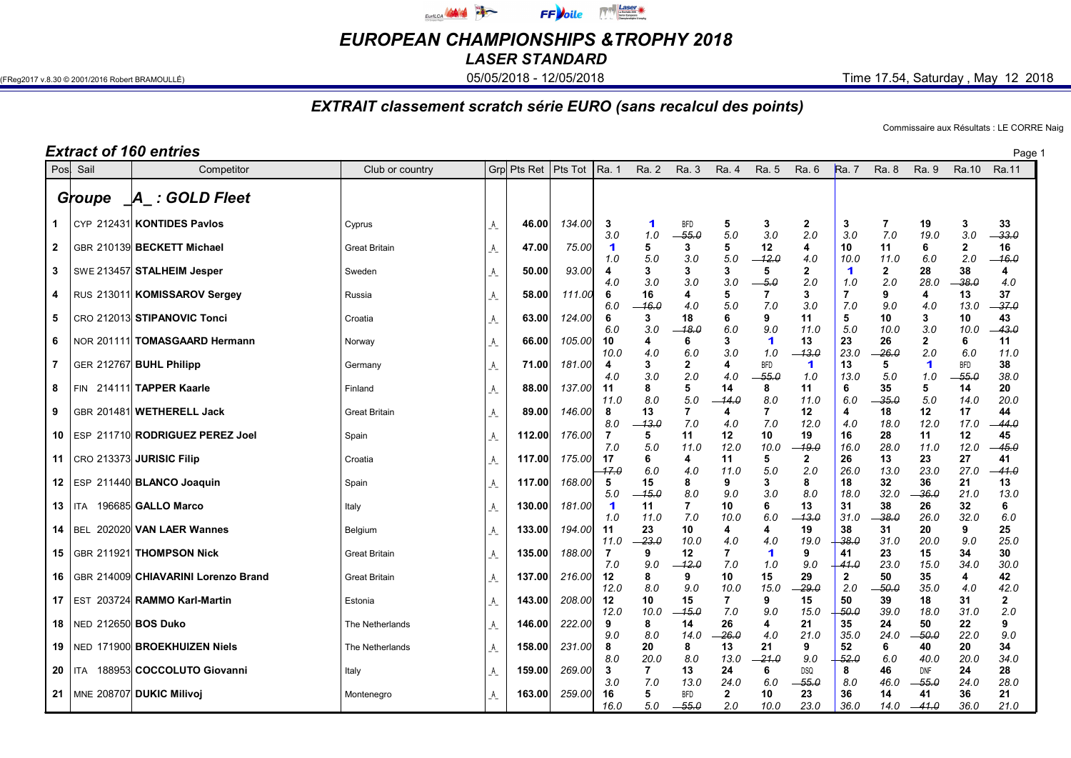

EUROPEAN CHAMPIONSHIPS &TROPHY 2018

LASER STANDARD

(FReg2017 v.8.30 © 2001/2016 Robert BRAMOULLÉ) **05/05/2018 - 05/05/2018 - 12/05/2018** Time 17.54, Saturday , May 12 2018

## EXTRAIT classement scratch série EURO (sans recalcul des points)

Commissaire aux Résultats : LE CORRE Naig

|              |                     | <b>Extract of 160 entries</b>                |                                 |                             |                  |                  |                             |                 |                       |                      |                             |                             |                       |                     |                    |                     | Page <sup>1</sup>    |
|--------------|---------------------|----------------------------------------------|---------------------------------|-----------------------------|------------------|------------------|-----------------------------|-----------------|-----------------------|----------------------|-----------------------------|-----------------------------|-----------------------|---------------------|--------------------|---------------------|----------------------|
| Posl         | Sail                | Competitor                                   | Club or country                 |                             | Grp Pts Ret      | Pts Tot          | Ra. 1                       | Ra. 2           | Ra. 3                 | Ra. 4                | Ra. 5                       | Ra. 6                       | <b>Ra.</b> 7          | Ra. 8               | Ra. 9              | Ra. 10              | Ra.11                |
|              | Groupe              | A : GOLD Fleet                               |                                 |                             |                  |                  |                             |                 |                       |                      |                             |                             |                       |                     |                    |                     |                      |
| $\mathbf 1$  |                     | CYP 212431 KONTIDES Pavlos                   | Cyprus                          | A                           | 46.00            | 134.00           | 3<br>3.0                    | 1<br>1.0        | <b>BFD</b><br>55.0    | 5<br>5.0             | 3<br>3.0                    | $\mathbf{2}$<br>2.0         | 3<br>3.0              | 7<br>7.0            | 19<br>19.0         | 3<br>3.0            | 33<br>$-33.0$        |
| $\mathbf{2}$ |                     | GBR 210139 BECKETT Michael                   | <b>Great Britain</b>            | A                           | 47.00            | 75.00            | $\blacktriangleleft$<br>1.0 | 5<br>5.0        | 3<br>3.0              | 5<br>5.0             | 12<br>$-12.0$               | 4<br>4.0                    | 10<br>10.0            | 11<br>11.0          | 6<br>6.0           | $\mathbf{2}$<br>2.0 | 16<br>$-16.0$        |
| 3            |                     | SWE 213457 STALHEIM Jesper                   | Sweden                          | A_                          | 50.00            | 93.00            | 4<br>4.0                    | 3<br>3.0        | 3<br>3.0              | 3<br>3.0             | 5<br>$-5.0$                 | $\mathbf{2}$<br>2.0         | 1<br>1.0              | $\mathbf{2}$<br>2.0 | 28<br>28.0         | 38<br>$-38.0$       | 4<br>4.0             |
| 4            |                     | RUS 213011 KOMISSAROV Sergey                 | Russia                          | A                           | 58.00            | 111.00           | 6<br>6.0                    | 16<br>16.0      | 4<br>4.0              | 5<br>5.0             | $\overline{7}$<br>7.0       | 3<br>3.0                    | $\overline{7}$<br>7.0 | 9<br>9.0            | 4<br>4.0           | 13<br>13.0          | 37<br>37.0           |
| 5            |                     | CRO 212013 STIPANOVIC Tonci                  | Croatia                         | A_                          | 63.00            | 124.00           | 6<br>6.0                    | 3<br>3.0        | 18<br>18.0            | 6<br>6.0             | 9<br>9.0                    | 11<br>11.0                  | 5<br>5.0              | 10<br>10.0          | 3<br>3.0           | 10<br>10.0          | 43<br>43.0           |
| 6            |                     | NOR 201111 TOMASGAARD Hermann                | Norway                          | A_                          | 66.00            | 105.00           | 10<br>10.0                  | 4<br>4.0        | 6<br>6.0              | 3<br>3.0             | $\blacktriangleleft$<br>1.0 | 13<br>$-13.0$               | 23<br>23.0            | 26<br>$-26.0$       | 2<br>2.0           | 6<br>6.0            | 11<br>11.0           |
| 7            |                     | GER 212767 BUHL Philipp                      | Germany                         | A                           | 71.00            | 181.00           | 4<br>4.0                    | 3<br>3.0        | $\mathbf{2}$<br>2.0   | 4<br>4.0             | <b>BFD</b><br>$-55.0$       | $\blacktriangleleft$<br>1.0 | 13<br>13.0            | 5<br>5.0            | 1<br>1.0           | <b>BFD</b><br>-55.0 | 38<br>38.0           |
| 8            | FIN                 | 214111 TAPPER Kaarle                         | Finland                         | _A_                         | 88.00            | 137.00           | 11<br>11.0                  | 8<br>8.0        | 5<br>5.0              | 14<br>-- 14.0        | 8<br>8.0                    | 11<br>11.0                  | 6<br>6.0              | 35<br>$-35.0$       | 5<br>5.0           | 14<br>14.0          | 20<br>20.0           |
| 9            |                     | GBR 201481 WETHERELL Jack                    | <b>Great Britain</b>            | $\mathsf{A}_{\mathsf{L}}$   | 89.00            | 146.00           | 8<br>8.0                    | 13<br>-13.0     | $\overline{7}$<br>7.0 | 4<br>4.0             | $\overline{7}$<br>7.0       | 12<br>12.0                  | 4<br>4.0              | 18<br>18.0          | 12<br>12.0         | 17<br>17.0          | 44<br>-44.0          |
| 10           |                     | ESP 211710 RODRIGUEZ PEREZ Joel              | Spain                           | $A_{-}$                     | 112.00           | 176.00           | 7<br>7.0                    | 5<br>5.0        | 11<br>11.0            | 12<br>12.0           | 10<br>10.0                  | 19<br>-19.0                 | 16<br>16.0            | 28<br>28.0          | 11<br>11.0         | 12<br>12.0          | 45<br>-45.0          |
| 11           |                     | CRO 213373 JURISIC Filip                     | Croatia                         | A                           | 117.00           | 175.00           | 17<br>17.0                  | 6<br>6.0        | 4<br>4.0              | 11<br>11.0           | 5<br>5.0                    | $\mathbf{2}$<br>2.0         | 26<br>26.0            | 13<br>13.0          | 23<br>23.0         | 27<br>27.0          | 41<br>-41.0          |
| 12           |                     | ESP 211440 BLANCO Joaquin                    | Spain                           | $A_{-}$                     | 117.00           | 168.00           | 5<br>5.0                    | 15<br>15.0      | 8<br>8.0              | 9<br>9.0             | 3<br>3.0                    | 8<br>8.0                    | 18<br>18.0            | 32<br>32.0          | 36<br>$-36.0$      | 21<br>21.0          | 13<br>13.0           |
| 13.          | ITA.                | 196685 GALLO Marco<br>202020 VAN LAER Wannes | Italy                           | $A_{-}$                     | 130.00           | 181.00           | 1<br>1.0<br>11              | 11<br>11.0      | 7<br>7.0              | 10<br>10.0<br>4      | 6<br>6.0<br>4               | 13<br>-13.0                 | 31<br>31.0<br>38      | 38<br>-38.0         | 26<br>26.0         | 32<br>32.0<br>9     | 6<br>6.0             |
| 14<br>15     | BEL.                | GBR 211921 THOMPSON Nick                     | Belgium<br><b>Great Britain</b> | A                           | 133.00<br>135.00 | 194.00<br>188.00 | 11.0<br>$\overline{7}$      | 23<br>23.0<br>9 | 10<br>10.0<br>12      | 4.0<br>7             | 4.0<br>$\blacktriangleleft$ | 19<br>19.0<br>9             | 38.0<br>41            | 31<br>31.0<br>23    | 20<br>20.0<br>15   | 9.0<br>34           | 25<br>25.0<br>30     |
| 16           |                     | GBR 214009 CHIAVARINI Lorenzo Brand          | <b>Great Britain</b>            | A<br>A                      | 137.00           | 216.00           | 7.0<br>12                   | 9.0<br>8        | 12.0<br>9             | 7.0<br>10            | 1.0<br>15                   | 9.0<br>29                   | 41.0<br>$\mathbf{2}$  | 23.0<br>50          | 15.0<br>35         | 34.0<br>4           | 30.0<br>42           |
| 17           |                     | EST 203724 RAMMO Karl-Martin                 | Estonia                         | A                           | 143.00           | 208.00           | 12.0<br>12                  | 8.0<br>10       | 9.0<br>15             | 10.0<br>7            | 15.0<br>9                   | $-29.0$<br>15               | 2.0<br>50             | -50.0<br>39         | 35.0<br>18         | 4.0<br>31           | 42.0<br>$\mathbf{2}$ |
| 18           | NED 212650 BOS Duko |                                              | The Netherlands                 | A_                          | 146.00           | 222.00           | 12.0<br>9                   | 10.0<br>8       | 15.0<br>14            | 7.0<br>26            | 9.0<br>4                    | 15.0<br>21                  | 50.0<br>35            | 39.0<br>24          | 18.0<br>50         | 31.0<br>22          | 2.0<br>9             |
| 19           |                     | NED 171900 BROEKHUIZEN Niels                 | The Netherlands                 | $\mathcal{A}_{\mathcal{L}}$ | 158.00           | 231.00           | 9.0<br>8                    | 8.0<br>20       | 14.0<br>8             | 26.0<br>13           | 4.0<br>21                   | 21.0<br>9                   | 35.0<br>52            | 24.0<br>6           | -50.0<br>40        | 22.0<br>20          | 9.0<br>34            |
| 20           | ITA.                | 188953 COCCOLUTO Giovanni                    | Italy                           | _A_                         | 159.00           | 269.00           | 8.0<br>3                    | 20.0<br>7       | 8.0<br>13             | 13.0<br>24           | $-21.0$<br>6                | 9.0<br><b>DSQ</b>           | 52.0<br>8             | 6.0<br>46           | 40.0<br><b>DNF</b> | 20.0<br>24          | 34.0<br>28           |
| 21           |                     | MNE 208707 DUKIC Milivoj                     | Montenegro                      | A_                          | 163.00           | 259.00           | 3.0<br>16                   | 7.0<br>5        | 13.0<br><b>BFD</b>    | 24.0<br>$\mathbf{2}$ | 6.0<br>10                   | -55.0<br>23                 | 8.0<br>36             | 46.0<br>14          | -55.0<br>41        | 24.0<br>36          | 28.0<br>21           |
|              |                     |                                              |                                 |                             |                  |                  | 16.0                        | 5.0             | $-55.0$               | 2.0                  | 10.0                        | 23.0                        | 36.0                  | 14.0                | $-41.0$            | 36.0                | 21.0                 |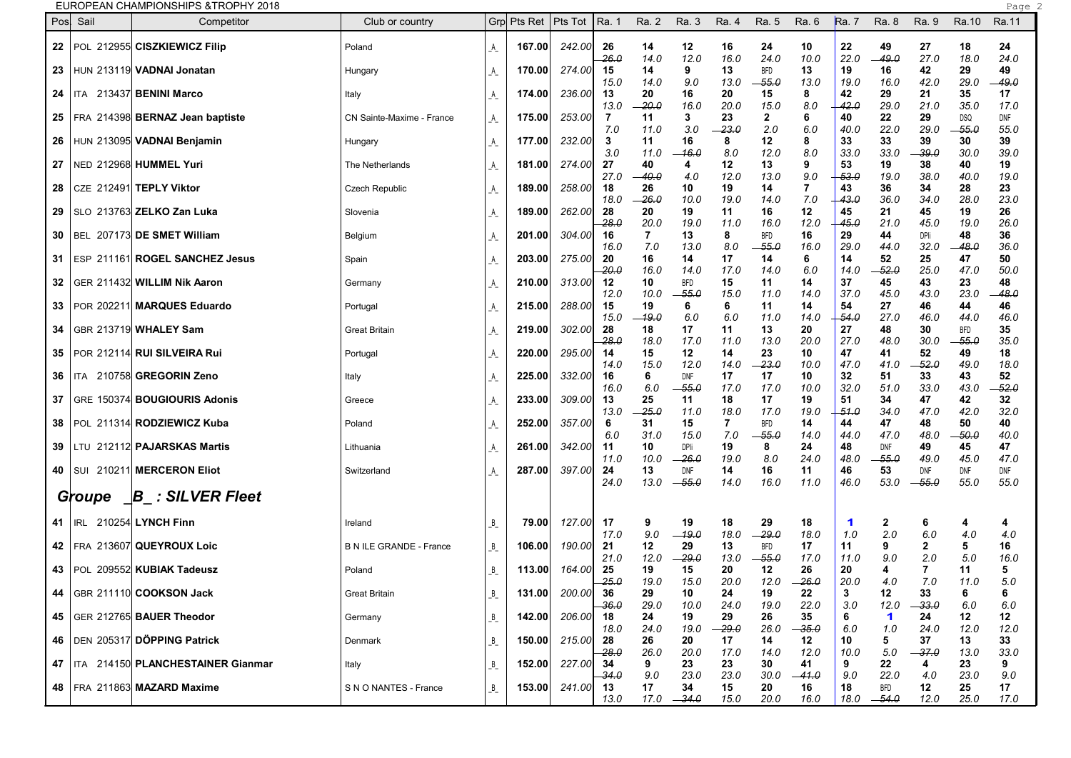|      |            | EUROPEAN CHAMPIONSHIPS &TROPHY 2018    |                                |                        |        |                               |               |             |                    |             |                    |               |                             |                     |               |                       | Page 2      |  |
|------|------------|----------------------------------------|--------------------------------|------------------------|--------|-------------------------------|---------------|-------------|--------------------|-------------|--------------------|---------------|-----------------------------|---------------------|---------------|-----------------------|-------------|--|
| Pos  | Sail       | Competitor                             | Club or country                |                        |        | Grp Pts Ret   Pts Tot   Ra. 1 |               | Ra. 2       | Ra. 3              | Ra. 4       | Ra. 5              | Ra. 6         | Ra. 7                       | Ra. 8               | Ra. 9         | Ra.10                 | Ra.11       |  |
|      |            | 22   POL 212955 CISZKIEWICZ Filip      | Poland                         | A                      | 167.00 | 242.00                        | 26            | 14          | 12                 | 16          | 24                 | 10            | 22                          | 49                  | 27            | 18                    | 24          |  |
|      |            | 23 HUN 213119 VADNAI Jonatan           | Hungary                        | $A_{-}$                | 170.00 | 274.00                        | 26.0<br>15    | 14.0<br>14  | 12.0<br>9          | 16.0<br>13  | 24.0<br><b>BFD</b> | 10.0<br>13    | 22.0<br>19                  | -49.0<br>16         | 27.0<br>42    | 18.0<br>29            | 24.0<br>49  |  |
|      |            |                                        |                                |                        |        |                               | 15.0          | 14.0        | 9.0                | 13.0        | -55.0              | 13.0          | 19.0                        | 16.0                | 42.0          | 29.0                  | -49.0       |  |
|      |            | 24   ITA 213437 BENINI Marco           | Italy                          | A                      | 174.00 | 236.00                        | 13            | 20          | 16                 | 20          | 15                 | 8             | 42                          | 29                  | 21            | 35                    | 17          |  |
|      |            |                                        |                                |                        |        |                               | 13.0          | -- 20.0     | 16.0<br>3          | 20.0        | 15.0               | 8.0           | -42.0                       | 29.0                | 21.0          | 35.0                  | 17.0        |  |
|      |            | 25   FRA 214398 BERNAZ Jean baptiste   | CN Sainte-Maxime - France      | _A_                    | 175.00 | 253.00                        | 7<br>7.0      | 11<br>11.0  | 3.0                | 23<br>-23.0 | 2<br>2.0           | 6<br>6.0      | 40<br>40.0                  | 22<br>22.0          | 29<br>29.0    | <b>DSQ</b><br>$-55.0$ | DNF<br>55.0 |  |
|      |            | 26   HUN 213095 VADNAI Benjamin        | Hungary                        | A                      | 177.00 | 232.00                        | 3             | 11          | 16                 | 8           | 12                 | 8             | 33                          | 33                  | 39            | 30                    | 39          |  |
| 27 I |            | NED 212968 HUMMEL Yuri                 | The Netherlands                | _A_                    | 181.00 | 274.00                        | 3.0<br>27     | 11.0<br>40  | -16.0<br>4         | 8.0<br>12   | 12.0<br>13         | 8.0<br>9      | 33.0<br>53                  | 33.0<br>19          | -39.0<br>38   | 30.0<br>40            | 39.0<br>19  |  |
| 28   |            | CZE 212491 TEPLY Viktor                | Czech Republic                 | A                      | 189.00 | 258.00                        | 27.0<br>18    | -40.0<br>26 | 4.0<br>10          | 12.0<br>19  | 13.0<br>14         | 9.0<br>7      | -53.0<br>43                 | 19.0<br>36          | 38.0<br>34    | 40.0<br>28            | 19.0<br>23  |  |
|      |            |                                        |                                |                        |        |                               | 18.0          | -- 26.0     | 10.0               | 19.0        | 14.0               | 7.0           | 43.0                        | 36.0                | 34.0          | 28.0                  | 23.0        |  |
| 29   |            | SLO 213763 ZELKO Zan Luka              | Slovenia                       | A                      | 189.00 | 262.00                        | 28            | 20          | 19                 | 11          | 16                 | 12            | 45                          | 21                  | 45            | 19                    | 26          |  |
|      |            | 30   BEL 207173 DE SMET William        | Belgium                        |                        | 201.00 | 304.00                        | $-28.0$<br>16 | 20.0<br>7   | 19.0<br>13         | 11.0<br>8   | 16.0<br><b>BFD</b> | 12.0<br>16    | 45.0<br>29                  | 21.0<br>44          | 45.0<br>DPli  | 19.0<br>48            | 26.0<br>36  |  |
|      |            |                                        |                                | _A_                    |        |                               | 16.0          | 7.0         | 13.0               | 8.0         | -55.0              | 16.0          | 29.0                        | 44.0                | 32.0          | -48.0                 | 36.0        |  |
|      |            | 31   ESP 211161  ROGEL SANCHEZ Jesus   | Spain                          | A                      | 203.00 | 275.00                        | 20            | 16          | 14                 | 17          | 14                 | 6             | 14                          | 52                  | 25            | 47                    | 50          |  |
|      |            |                                        |                                |                        |        |                               | -20.0         | 16.0        | 14.0               | 17.0        | 14.0               | 6.0           | 14.0                        | -52.0               | 25.0          | 47.0                  | 50.0        |  |
|      |            | 32   GER 211432 WILLIM Nik Aaron       | Germany                        | _A_                    | 210.00 | 313.00                        | 12            | 10          | <b>BFD</b>         | 15          | 11                 | 14            | 37                          | 45                  | 43            | 23                    | 48          |  |
|      |            | 33   POR 202211 MARQUES Eduardo        |                                |                        | 215.00 | 288.00                        | 12.0<br>15    | 10.0<br>19  | -55.0<br>6         | 15.0<br>6   | 11.0<br>11         | 14.0<br>14    | 37.0<br>54                  | 45.0<br>27          | 43.0<br>46    | 23.0<br>44            | 48.0<br>46  |  |
|      |            |                                        | Portugal                       |                        |        |                               | 15.0          | $-19.0$     | 6.0                | 6.0         | 11.0               | 14.0          | -54.0                       | 27.0                | 46.0          | 44.0                  | 46.0        |  |
| 34   |            | l GBR 213719l <b>WHALEY Sam</b>        | <b>Great Britain</b>           | A                      | 219.00 | 302.00                        | 28            | 18          | 17                 | 11          | 13                 | 20            | 27                          | 48                  | 30            | <b>BFD</b>            | 35          |  |
|      |            |                                        |                                |                        |        |                               | -28.0         | 18.0        | 17.0               | 11.0        | 13.0               | 20.0          | 27.0                        | 48.0                | 30.0          | -55.0                 | 35.0        |  |
| 35   |            | POR 212114 RUI SILVEIRA Rui            | Portugal                       | A                      | 220.00 | 295.00                        | 14            | 15          | 12                 | 14          | 23                 | 10            | 47                          | 41                  | 52            | 49                    | 18          |  |
| 36   |            | ITA 210758 GREGORIN Zeno               |                                |                        | 225.00 | 332.00                        | 14.0<br>16    | 15.0<br>6   | 12.0<br><b>DNF</b> | 14.0<br>17  | $-23.0$<br>17      | 10.0<br>10    | 47.0<br>32                  | 41.0<br>51          | -52.0<br>33   | 49.0<br>43            | 18.0<br>52  |  |
|      |            |                                        | Italy                          | A                      |        |                               | 16.0          | 6.0         | -55.0              | 17.0        | 17.0               | 10.0          | 32.0                        | 51.0                | 33.0          | 43.0                  | $-52.0$     |  |
| 37   |            | GRE 150374 BOUGIOURIS Adonis           | Greece                         | A                      | 233.00 | 309.00                        | 13            | 25          | 11                 | 18          | 17                 | 19            | 51                          | 34                  | 47            | 42                    | 32          |  |
|      |            |                                        |                                |                        |        |                               | 13.0          | $-25.0$     | 11.0               | 18.0        | 17.0               | 19.0          | -51.0                       | 34.0                | 47.0          | 42.0                  | 32.0        |  |
|      |            | 38   POL 211314 RODZIEWICZ Kuba        | Poland                         | A                      | 252.00 | 357.00                        | 6             | 31          | 15                 | 7           | <b>BFD</b>         | 14            | 44                          | 47                  | 48            | 50                    | 40          |  |
|      |            | 39   LTU 212112 PAJARSKAS Martis       | Lithuania                      |                        | 261.00 | 342.00                        | 6.0<br>11     | 31.0<br>10  | 15.0<br>DPli       | 7.0<br>19   | -55.0<br>8         | 14.0<br>24    | 44.0<br>48                  | 47.0<br><b>DNF</b>  | 48.0<br>49    | -50.0<br>45           | 40.0<br>47  |  |
|      |            |                                        |                                | A                      |        |                               | 11.0          | 10.0        | $-26.0$            | 19.0        | 8.0                | 24.0          | 48.0                        | -55.0               | 49.0          | 45.0                  | 47.0        |  |
|      |            | 40   SUI 210211   MERCERON Eliot       | Switzerland                    | $\mathsf{A}\mathsf{A}$ | 287.00 | 397.00                        | 24            | 13          | <b>DNF</b>         | 14          | 16                 | 11            | 46                          | 53                  | DNF           | DNF                   | <b>DNF</b>  |  |
|      |            |                                        |                                |                        |        |                               | 24.0          | 13.0        | $-55.0$            | 14.0        | 16.0               | 11.0          | 46.0                        | 53.0                | -55.0         | 55.0                  | 55.0        |  |
|      | Groupe     | $\Box B$ : SILVER Fleet                |                                |                        |        |                               |               |             |                    |             |                    |               |                             |                     |               |                       |             |  |
| 41   | <b>IRL</b> | 210254 LYNCH Finn                      | Ireland                        | B                      | 79.00  | 127.00                        | 17<br>17.0    | 9<br>9.0    | 19<br>$-19.0$      | 18<br>18.0  | 29<br>-29.0        | 18<br>18.0    | $\blacktriangleleft$<br>1.0 | $\mathbf{2}$<br>2.0 | 6<br>6.0      | 4<br>4.0              | 4<br>4.0    |  |
|      |            | 42   FRA 213607 QUEYROUX Loic          | <b>B N ILE GRANDE - France</b> | B                      | 106.00 | 190.00                        | 21            | 12          | 29                 | 13          | <b>BFD</b>         | 17            | 11                          | 9                   | 2             | 5                     | 16          |  |
|      |            | 43   POL 209552 KUBIAK Tadeusz         | Poland                         | B                      | 113.00 | 164.00                        | 21.0<br>25    | 12.0<br>19  | $-29.0$<br>15      | 13.0<br>20  | $-55.0$<br>12      | 17.0<br>26    | 11.0<br>20                  | 9.0<br>Δ            | 2.0           | 5.0<br>11             | 16.0<br>5   |  |
|      |            |                                        |                                |                        |        |                               | -25.0         | 19.0        | 15.0               | 20.0        | 12.0               | $-26.0$       | 20.0                        | 4.0                 | 7.0           | 11.0                  | 5.0         |  |
|      |            | 44   GBR 211110 COOKSON Jack           | <b>Great Britain</b>           | B                      | 131.00 | 200.00                        | 36<br>$-36.0$ | 29<br>29.0  | 10<br>10.0         | 24<br>24.0  | 19<br>19.0         | 22<br>22.0    | 3<br>3.0                    | 12<br>12.0          | 33<br>$-33.0$ | 6<br>6.0              | 6<br>6.0    |  |
|      |            | 45   GER 212765 BAUER Theodor          | Germany                        | $B_{-}$                | 142.00 | 206.00                        | 18            | 24          | 19                 | 29          | 26                 | 35            | 6                           | $\mathbf 1$         | 24            | 12                    | 12          |  |
|      |            |                                        |                                |                        |        |                               | 18.0          | 24.0        | 19.0               | $-29.0$     | 26.0               | $-35.0$       | 6.0                         | 1.0                 | 24.0          | 12.0                  | 12.0        |  |
|      |            | 46   DEN 205317 DÖPPING Patrick        | Denmark                        | $B_{-}$                | 150.00 | 215.00                        | 28            | 26          | 20                 | 17          | 14                 | 12            | 10                          | 5.                  | 37            | 13                    | 33          |  |
|      |            |                                        |                                |                        |        |                               | -28.0         | 26.0        | 20.0               | 17.0        | 14.0               | 12.0          | 10.0                        | 5.0                 | $-37.0$       | 13.0                  | 33.0        |  |
|      |            | 47   ITA 214150 PLANCHESTAINER Gianmar | Italy                          | B                      | 152.00 | 227.00                        | 34<br>34.O    | 9<br>9.0    | 23<br>23.0         | 23<br>23.0  | 30<br>30.0         | 41<br>$-41.0$ | 9.<br>9.0                   | 22<br>22.0          | 4<br>4.0      | 23<br>23.0            | 9<br>9.0    |  |
|      |            | 48 FRA 211863 MAZARD Maxime            | S N O NANTES - France          | $B_{-}$                | 153.00 | 241.00                        | 13            | 17          | 34                 | 15          | 20                 | 16            | 18                          | BFD                 | 12            | 25                    | 17          |  |
|      |            |                                        |                                |                        |        |                               | 13.0          |             | $17.0 -34.0$       | 15.0        | 20.0               | 16.0          | 18.0                        | $-54.0$             | 12.0          | 25.0                  | 17.0        |  |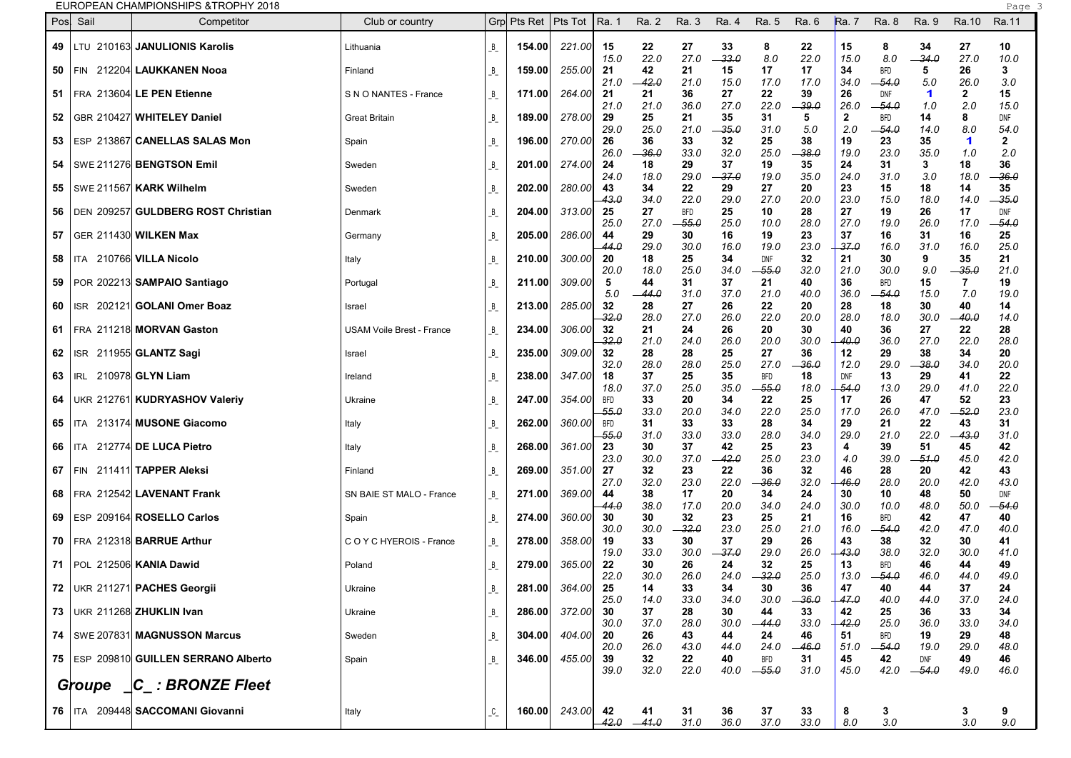| EUROPEAN CHAMPIONSHIPS & TROPHY 2018 |
|--------------------------------------|
|                                      |

|            |            | EUROPEAN CHAMPIONSHIPS &TROPHY 2018     |                                  |         |        |                               |              |               |                    |               |                    |               |                      |                       |                |                             | Page 3               |  |
|------------|------------|-----------------------------------------|----------------------------------|---------|--------|-------------------------------|--------------|---------------|--------------------|---------------|--------------------|---------------|----------------------|-----------------------|----------------|-----------------------------|----------------------|--|
| Pos        | Sail       | Competitor                              | Club or country                  |         |        | Grp Pts Ret   Pts Tot   Ra. 1 |              | Ra. 2         | Ra. 3              | Ra. 4         | Ra. 5              | Ra. 6         | Ra. 7                | Ra. 8                 | Ra. 9          | Ra.10                       | Ra.11                |  |
|            |            | 49 LTU 210163 JANULIONIS Karolis        | Lithuania                        | B       | 154.00 | 221.00                        | 15<br>15.0   | 22<br>22.0    | 27<br>27.0         | 33<br>$-33.0$ | 8<br>8.0           | 22<br>22.0    | 15<br>15.0           | 8<br>8.0              | 34<br>$-34.0$  | 27<br>27.0                  | 10<br>10.0           |  |
| 50         | I FIN.     | 212204 LAUKKANEN Nooa                   | Finland                          | B       | 159.00 | 255.00                        | 21           | 42            | 21                 | 15            | 17                 | 17            | 34                   | <b>BFD</b>            | 5              | 26                          | 3                    |  |
|            |            | 51   FRA 213604 LE PEN Etienne          | S N O NANTES - France            | B       | 171.00 | 264.00                        | 21.0<br>21   | $-42.0$<br>21 | 21.0<br>36         | 15.0<br>27    | 17.0<br>22         | 17.0<br>39    | 34.0<br>26           | -54.0<br>DNF          | 5.0<br>-1      | 26.0<br>$\overline{2}$      | 3.0<br>15            |  |
| 52 I       |            | GBR 210427 WHITELEY Daniel              | <b>Great Britain</b>             | B       | 189.00 | 278.00                        | 21.0<br>29   | 21.0<br>25    | 36.0<br>21         | 27.0<br>35    | 22.0<br>31         | -39.0<br>5    | 26.0<br>$\mathbf{2}$ | -- 54.0<br><b>BFD</b> | 1.0<br>14      | 2.0<br>8                    | 15.0<br><b>DNF</b>   |  |
|            |            | 53   ESP 213867 CANELLAS SALAS Mon      | Spain                            | B       | 196.00 | 270.00                        | 29.0<br>26   | 25.0<br>36    | 21.0<br>33         | $-35.0$<br>32 | 31.0<br>25         | 5.0<br>38     | 2.0<br>19            | -54.0<br>23           | 14.0<br>35     | 8.0<br>$\blacktriangleleft$ | 54.0<br>$\mathbf{2}$ |  |
|            |            | 54   SWE 211276 BENGTSON Emil           | Sweden                           | B       | 201.00 | 274.00                        | 26.0<br>24   | -36.0<br>18   | 33.0<br>29         | 32.0<br>37    | 25.0<br>19         | -38.0<br>35   | 19.0<br>24           | 23.0<br>31            | 35.0<br>3      | 1.0<br>18                   | 2.0<br>36            |  |
| 55         |            | SWE 211567 KARK Wilhelm                 | Sweden                           | B       | 202.00 | 280.00                        | 24.0<br>43   | 18.0<br>34    | 29.0<br>22         | -37.0<br>29   | 19.0<br>27         | 35.0<br>20    | 24.0<br>23           | 31.0<br>15            | 3.0<br>18      | 18.0<br>14                  | 36.0<br>35           |  |
|            |            | 56   DEN 209257 GULDBERG ROST Christian | Denmark                          | B       | 204.00 | 313.00                        | 43.0<br>25   | 34.0<br>27    | 22.0<br><b>BFD</b> | 29.0<br>25    | 27.0<br>10         | 20.0<br>28    | 23.0<br>27           | 15.0<br>19            | 18.0<br>26     | 14.0<br>17                  | -35.0<br><b>DNF</b>  |  |
| 57         |            | GER 211430 WILKEN Max                   | Germany                          | B       | 205.00 | 286.00                        | 25.0<br>44   | 27.0<br>29    | -55.0<br>30        | 25.0<br>16    | 10.0<br>19         | 28.0<br>23    | 27.0<br>37           | 19.0<br>16            | 26.0<br>31     | 17.0<br>16                  | -54.0<br>25          |  |
|            |            | <b>58   ITA 210766 VILLA Nicolo</b>     | Italy                            | B       | 210.00 | 300.00                        | 44.0<br>20   | 29.0<br>18    | 30.0<br>25         | 16.0<br>34    | 19.0<br>DNF        | 23.0<br>32    | 37.0<br>21           | 16.0<br>30            | 31.0<br>9      | 16.0<br>35                  | 25.0<br>21           |  |
|            |            | 59   POR 202213 SAMPAIO Santiago        | Portugal                         | B       | 211.00 | 309.00                        | 20.0<br>5    | 18.0<br>44    | 25.0<br>31         | 34.0<br>37    | 55.0<br>21         | 32.0<br>40    | 21.0<br>36           | 30.0<br><b>BFD</b>    | 9.0<br>15      | - 35.0<br>7                 | 21.0<br>19           |  |
| 60         |            | ISR 202121 GOLANI Omer Boaz             | Israel                           | B       | 213.00 | 285.00                        | 5.0<br>32    | -- 44.0<br>28 | 31.0<br>27         | 37.0<br>26    | 21.0<br>22         | 40.0<br>20    | 36.0<br>28           | -54.0<br>18           | 15.0<br>30     | 7.0<br>40                   | 19.0<br>14           |  |
|            |            | 61   FRA 211218 MORVAN Gaston           | <b>USAM Voile Brest - France</b> | B       | 234.00 | 306.00                        | -32.0<br>32  | 28.0<br>21    | 27.0<br>24         | 26.0<br>26    | 22.0<br>20         | 20.0<br>30    | 28.0<br>40           | 18.0<br>36            | 30.0<br>27     | -40.0<br>22                 | 14.0<br>28           |  |
| 62         | ISR        | 211955 GLANTZ Sagi                      | Israel                           | B       | 235.00 | 309.00                        | -32.0<br>32  | 21.0<br>28    | 24.0<br>28         | 26.0<br>25    | 20.0<br>27         | 30.0<br>36    | 40.0<br>12           | 36.0<br>29            | 27.0<br>38     | 22.0<br>34                  | 28.O<br>20           |  |
| $63$   IRL |            | 210978 GLYN Liam                        | Ireland                          | B       | 238.00 | 347.00                        | 32.0<br>18   | 28.0<br>37    | 28.0<br>25         | 25.0<br>35    | 27.0<br><b>BFD</b> | -36.0<br>18   | 12.0<br><b>DNF</b>   | 29.0<br>13            | -38.0<br>29    | 34.0<br>41                  | 20.0<br>22           |  |
|            |            | 64   UKR 212761 KUDRYASHOV Valeriy      | Ukraine                          | B       | 247.00 | 354.00                        | 18.0<br>BFD  | 37.0<br>33    | 25.0<br>20         | 35.0<br>34    | -55.0<br>22        | 18.0<br>25    | 54.0<br>17           | 13.0<br>26            | 29.0<br>47     | 41.0<br>52                  | 22.0<br>23           |  |
| 65         | <b>ITA</b> | 213174 MUSONE Giacomo                   | Italy                            | B       | 262.00 | 360.00                        | -55.0<br>BFD | 33.0<br>31    | 20.0<br>33         | 34.0<br>33    | 22.0<br>28         | 25.0<br>34    | 17.0<br>29           | 26.0<br>21            | 47.0<br>22     | -52.0<br>43                 | 23.O<br>31           |  |
| 66         | ITA        | 212774 DE LUCA Pietro                   | Italy                            | B       | 268.00 | 361.00                        | 55.0<br>23   | 31.0<br>30    | 33.0<br>37         | 33.0<br>42    | 28.C<br>25         | 34.0<br>23    | 29.0<br>4            | 21.0<br>39            | 22.0<br>51     | -43.0<br>45                 | 31.0<br>42           |  |
| 67         |            | FIN 211411 TAPPER Aleksi                | Finland                          | B       | 269.00 | 351.00                        | 23.0<br>27   | 30.0<br>32    | 37.0<br>23         | $-42.0$<br>22 | 25.0<br>36         | 23.0<br>32    | 4.0<br>46            | 39.0<br>28            | -51.0<br>20    | 45.0<br>42                  | 42.0<br>43           |  |
|            |            | 68   FRA 212542 LAVENANT Frank          | SN BAIE ST MALO - France         | B       | 271.00 | 369.00                        | 27.0<br>44   | 32.0<br>38    | 23.0<br>17         | 22.0<br>20    | -36.0<br>34        | 32.0<br>24    | 46.0<br>30           | 28.0<br>10            | 20.0<br>48     | 42.0<br>50                  | 43.0<br><b>DNF</b>   |  |
|            |            | 69   ESP 209164 ROSELLO Carlos          | Spain                            | B       | 274.00 | 360.00                        | 44.0<br>30   | 38.0<br>30    | 17.0<br>32         | 20.0<br>23    | 34.0<br>25         | 24.0<br>21    | 30.0<br>16           | 10.0<br><b>BFD</b>    | 48.0<br>42     | 50.0<br>47                  | -54.0<br>40          |  |
|            |            | 70   FRA 212318 BARRUE Arthur           | C O Y C HYEROIS - France         | B       | 278.00 | 358.00                        | 30.0<br>19   | 30.0<br>33    | -32.0<br>30        | 23.0<br>37    | 25.0<br>29         | 21.0<br>26    | 16.0<br>43           | -54.0<br>38           | 42.0<br>32     | 47.0<br>30                  | 40.0<br>41           |  |
|            |            | 71   POL 212506 KANIA Dawid             | Poland                           | B       | 279.00 | 365.00                        | 19.0<br>22   | 33.0<br>30    | 30.0<br>26         | -37.0<br>24   | 29.0<br>32         | 26.0<br>25    | 43.0<br>13           | 38.0<br><b>BFD</b>    | 32.0<br>46     | 30.0<br>44                  | 41.0<br>49           |  |
|            |            | 72   UKR 211271 PACHES Georgii          | Ukraine                          | B       | 281.00 | 364.00                        | 22.0<br>25   | 30.0<br>14    | 26.0<br>33         | 24.0<br>34    | $-32.0$<br>30      | 25.0<br>36    | 13.0<br>47           | $-54.0$<br>40         | 46.0<br>44     | 44.0<br>37                  | 49.0<br>24           |  |
|            |            | 73   UKR 211268 ZHUKLIN Ivan            | Ukraine                          |         | 286.00 | 372.00                        | 25.0<br>30   | 14.0<br>37    | 33.0<br>28         | 34.0<br>30    | 30.0<br>44         | $-36.0$<br>33 | $+47.0$<br>42        | 40.0<br>25            | 44.0<br>36     | 37.0<br>33                  | 24.0<br>34           |  |
|            |            | 74   SWE 207831 MAGNUSSON Marcus        |                                  | B       |        |                               | 30.0         | 37.0          | 28.0               | 30.0          | $-44.0$            | 33.0          | 42.0                 | 25.0                  | 36.0           | 33.0                        | 34.0                 |  |
|            |            |                                         | Sweden                           |         | 304.00 | 404.00                        | 20<br>20.0   | 26<br>26.0    | 43<br>43.0         | 44<br>44.0    | 24<br>24.0         | 46<br>$-46.0$ | 51<br>51.0           | <b>BFD</b><br>$-54.0$ | 19<br>19.0     | 29<br>29.0                  | 48<br>48.0           |  |
|            |            | 75   ESP 209810 GUILLEN SERRANO Alberto | Spain                            | B       | 346.00 | 455.00                        | 39<br>39.0   | 32<br>32.0    | 22<br>22.0         | 40<br>40.0    | BFD<br>$-55.0$     | 31<br>31.0    | 45<br>45.0           | 42<br>42.0            | DNF<br>$-54.0$ | 49<br>49.0                  | 46<br>46.0           |  |
|            |            | Groupe $\Box C$ : BRONZE Fleet          |                                  |         |        |                               |              |               |                    |               |                    |               |                      |                       |                |                             |                      |  |
|            |            | 76   ITA 209448 SACCOMANI Giovanni      | Italy                            | $C_{-}$ | 160.00 | 243.00                        | 42<br>42.0   | 41<br>$-41.0$ | 31<br>31.0         | 36<br>36.0    | 37<br>37.0         | 33<br>33.0    | 8<br>8.0             | 3<br>3.0              |                | 3<br>3.0                    | 9<br>9.0             |  |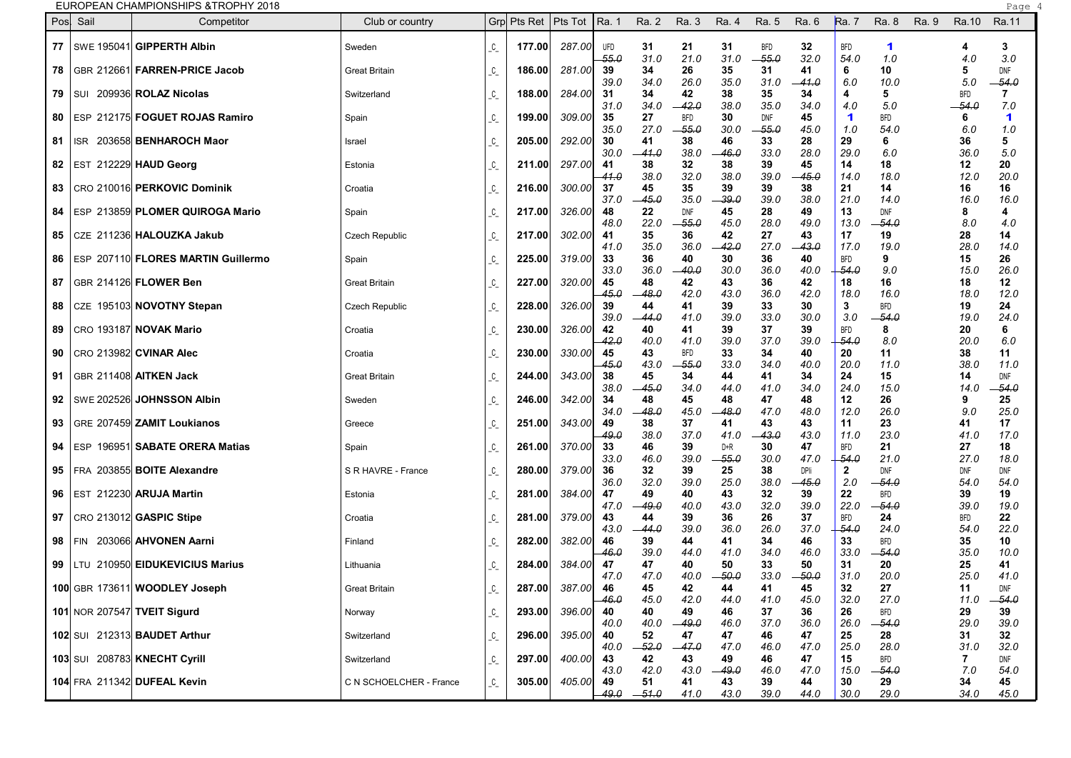| EUROPEAN CHAMPIONSHIPS & TROPHY 2018 |
|--------------------------------------|
|--------------------------------------|

|                  | EUROPEAN CHAMPIONSHIPS & TROPHY 2018      |                         |                       |        |        |               |               |                     |               |               |               |                             |                    |       |                    | Page                        |
|------------------|-------------------------------------------|-------------------------|-----------------------|--------|--------|---------------|---------------|---------------------|---------------|---------------|---------------|-----------------------------|--------------------|-------|--------------------|-----------------------------|
| Pos Sail         | Competitor                                | Club or country         | Grp Pts Ret   Pts Tot |        |        | Ra. 1         | Ra. 2         | Ra. 3               | Ra. 4         | Ra. 5         | Ra. 6         | <b>Ra.</b> 7                | Ra. 8              | Ra. 9 | Ra.10              | Ra.11                       |
|                  | 77   SWE 195041 GIPPERTH Albin            | Sweden                  | $\mathcal{C}_{-}$     | 177.00 | 287.00 | UFD           | 31            | 21                  | 31            | <b>BFD</b>    | 32            | BFD                         | 1                  |       | 4                  | 3                           |
| 78               | GBR 212661 FARREN-PRICE Jacob             | <b>Great Britain</b>    | $C_{-}$               | 186.00 | 281.00 | $-55.0$<br>39 | 31.0<br>34    | 21.0<br>26          | 31.0<br>35    | $-55.0$<br>31 | 32.0<br>41    | 54.0<br>6                   | 1.0<br>10          |       | 4.0<br>5           | 3.0<br>DNF                  |
| 79<br>I SUI      | 209936 ROLAZ Nicolas                      | Switzerland             | $\mathcal{C}_-$       | 188.00 | 284.00 | 39.0<br>31    | 34.0<br>34    | 26.0<br>42          | 35.0<br>38    | 31.0<br>35    | -41.0<br>34   | 6.0<br>4                    | 10.0<br>5          |       | 5.0<br><b>BFD</b>  | $-54.0$<br>7                |
| 80               | ESP 212175 <b>FOGUET ROJAS Ramiro</b>     | Spain                   | $C_{-}$               | 199.00 | 309.00 | 31.0<br>35    | 34.0<br>27    | -42.0<br><b>BFD</b> | 38.0<br>30    | 35.0<br>DNF   | 34.0<br>45    | 4.0<br>$\blacktriangleleft$ | 5.0<br><b>BFD</b>  |       | $-54.0$<br>6       | 7.0<br>$\blacktriangleleft$ |
|                  |                                           |                         |                       |        |        | 35.0          | 27.0          | -55.0               | 30.0          | $-55.0$       | 45.0          | 1.0                         | 54.0               |       | 6.0                | 1.0                         |
| 81<br><b>ISR</b> | 203658 BENHAROCH Maor                     | Israel                  | $C_{-}$               | 205.00 | 292.00 | 30<br>30.0    | 41<br>-41.0   | 38<br>38.0          | 46<br>-46.0   | 33<br>33.0    | 28<br>28.0    | 29<br>29.0                  | 6<br>6.0           |       | 36<br>36.0         | 5<br>5.0                    |
| 82               | EST 212229 HAUD Georg                     | Estonia                 | $C_{-}$               | 211.00 | 297.00 | -41<br>41.0   | 38<br>38.0    | 32<br>32.0          | 38<br>38.0    | 39<br>39.0    | 45<br>45.0    | 14<br>14.0                  | 18<br>18.0         |       | 12<br>12.0         | 20<br>20.0                  |
| 83               | CRO 210016 PERKOVIC Dominik               | Croatia                 | $C_{-}$               | 216.00 | 300.00 | 37<br>37.0    | 45<br>45.0    | 35<br>35.0          | 39<br>39.O    | 39<br>39.0    | 38<br>38.0    | 21<br>21.0                  | 14<br>14.0         |       | 16<br>16.0         | 16<br>16.0                  |
| 84               | ESP 213859 PLOMER QUIROGA Mario           | Spain                   | $C_{-}$               | 217.00 | 326.00 | 48            | 22            | DNF                 | 45            | 28<br>28.0    | 49            | 13                          | <b>DNF</b>         |       | 8                  | 4                           |
| 85               | CZE 211236 HALOUZKA Jakub                 | <b>Czech Republic</b>   | $C_{-}$               | 217.00 | 302.00 | 48.0<br>41    | 22.0<br>35    | -55.0<br>36         | 45.0<br>42    | 27            | 49.0<br>43    | 13.0<br>17                  | -54.0<br>19        |       | 8.0<br>28          | 4.0<br>14                   |
| 86               | ESP 207110 <b>FLORES MARTIN Guillermo</b> | Spain                   | $C_{-}$               | 225.00 | 319.00 | 41.0<br>33    | 35.0<br>36    | 36.0<br>40          | 42.0<br>30    | 27.0<br>36    | 43.0<br>40    | 17.0<br>BFD                 | 19.0<br>9          |       | 28.0<br>15         | 14.0<br>26                  |
| 87               | <b>GBR 214126 FLOWER Ben</b>              | <b>Great Britain</b>    | $C_{-}$               | 227.00 | 320.00 | 33.0<br>45    | 36.0<br>48    | 40.0<br>42          | 30.0<br>43    | 36.0<br>36    | 40.0<br>42    | 54.0<br>18                  | 9.0<br>16          |       | 15.0<br>18         | 26.0<br>12                  |
| 88               | CZE 195103 NOVOTNY Stepan                 | Czech Republic          | $C_{-}$               | 228.00 | 326.00 | -45.0<br>39   | 48.0<br>44    | 42.0<br>41          | 43.0<br>39    | 36.0<br>33    | 42.0<br>30    | 18.0<br>3                   | 16.0<br>BFD        |       | 18.0<br>19         | 12.0<br>24                  |
|                  | CRO 193187 NOVAK Mario                    |                         |                       |        |        | 39.0          | -44.0<br>40   | 41.0<br>41          | 39.0          | 33.0<br>37    | 30.0          | 3.0                         | -54.0<br>8         |       | 19.0               | 24.0<br>6                   |
| 89               |                                           | Croatia                 | $\mathcal{C}_-$       | 230.00 | 326.00 | 42<br>42.0    | 40.0          | 41.0                | 39<br>39.0    | 37.0          | 39<br>39.0    | BFD<br>-54.0                | 8.0                |       | 20<br>20.0         | 6.0                         |
| 90               | CRO 213982  <b>CVINAR Alec</b>            | Croatia                 | $\mathcal{C}_{-}$     | 230.00 | 330.00 | 45<br>45.O    | 43<br>43.0    | <b>BFD</b><br>-55.0 | 33<br>33.0    | 34<br>34.0    | 40<br>40.0    | 20<br>20.0                  | 11<br>11.0         |       | 38<br>38.0         | 11<br>11.0                  |
| 91               | GBR 211408 AITKEN Jack                    | <b>Great Britain</b>    | $C_{-}$               | 244.00 | 343.00 | 38<br>38.0    | 45<br>45.0    | 34<br>34.0          | 44<br>44.0    | 41<br>41.0    | 34<br>34.0    | 24<br>24.0                  | 15<br>15.0         |       | 14<br>14.0         | DNF<br>-54.0                |
| 92               | SWE 202526 JOHNSSON Albin                 | Sweden                  | $\mathcal{C}_-$       | 246.00 | 342.00 | 34<br>34.0    | 48<br>48.0    | 45<br>45.0          | 48<br>48.0    | 47<br>47.0    | 48<br>48.0    | 12<br>12.0                  | 26<br>26.0         |       | 9<br>9.0           | 25<br>25.0                  |
| 93               | GRE 207459 ZAMIT Loukianos                | Greece                  | $C_{-}$               | 251.00 | 343.00 | 49            | 38            | 37                  | 41            | 43            | 43            | 11                          | 23                 |       | 41                 | 17                          |
| 94               | ESP 196951 SABATE ORERA Matias            | Spain                   | $C_{-}$               | 261.00 | 370.00 | 49.0<br>33    | 38.0<br>46    | 37.0<br>39          | 41.0<br>D+R   | 43.0<br>30    | 43.0<br>47    | 11.0<br><b>BFD</b>          | 23.0<br>21         |       | 41.0<br>27         | 17.0<br>18                  |
| 95               | FRA 203855 <b>BOITE Alexandre</b>         | S R HAVRE - France      | $C_{-}$               | 280.00 | 379.00 | 33.0<br>36    | 46.0<br>32    | 39.0<br>39          | 55.0<br>25    | 30.0<br>38    | 47.0<br>DPIi  | $-54.0$<br>$\overline{2}$   | 21.0<br><b>DNF</b> |       | 27.0<br>DNF        | 18.0<br>DNF                 |
| 96               | EST 212230 ARUJA Martin                   | Estonia                 | $C_{-}$               | 281.00 | 384.00 | 36.0<br>47    | 32.0<br>49    | 39.0<br>40          | 25.0<br>43    | 38.0<br>32    | 45.0<br>39    | 2.0<br>22                   | -54.0<br>BFD       |       | 54.0<br>39         | 54.0<br>19                  |
| 97               | CRO 213012 GASPIC Stipe                   | Croatia                 | $C_{-}$               | 281.00 | 379.00 | 47.0<br>43    | 49.0<br>44    | 40.0<br>39          | 43.0<br>36    | 32.0<br>26    | 39.0<br>37    | 22.0<br><b>BFD</b>          | -54.0<br>24        |       | 39.0<br><b>BFD</b> | 19.0<br>22                  |
|                  | 203066 AHVONEN Aarni                      |                         |                       |        | 382.00 | 43.0          | -- 44.0       | 39.0                | 36.0          | 26.0          | 37.0          | -54.0                       | 24.0               |       | 54.0               | 22.0                        |
| 98<br>l FIN.     |                                           | Finland                 | $C_{-}$               | 282.00 |        | 46<br>46.0    | 39<br>39.0    | 44<br>44.0          | 41<br>41.0    | 34<br>34.0    | 46<br>46.0    | 33<br>33.0                  | BFD<br>54.0        |       | 35<br>35.0         | 10<br>10.0                  |
| 99               | LTU 210950 EIDUKEVICIUS Marius            | Lithuania               | $C_{-}$               | 284.00 | 384.00 | 47<br>47.0    | 47<br>47.0    | 40<br>40.0          | 50<br>$-50.0$ | 33<br>33.0    | 50<br>$-50.0$ | 31<br>31.0                  | 20<br>20.0         |       | 25<br>25.0         | 41<br>41.0                  |
|                  | 100 GBR 173611 WOODLEY Joseph             | <b>Great Britain</b>    | $C_{-}$               | 287.00 | 387.00 | 46<br>-46.0   | 45<br>45.0    | 42<br>42.0          | 44<br>44.0    | 41<br>41.0    | 45<br>45.0    | 32<br>32.0                  | 27<br>27.0         |       | 11<br>11.0         | DNF<br>$-54.0$              |
|                  | 101 NOR 207547 TVEIT Sigurd               | Norway                  | $\mathcal{L}_{-}$     | 293.00 | 396.00 | 40<br>40.0    | 40<br>40.0    | 49<br>$-49.0$       | 46<br>46.0    | 37<br>37.0    | 36<br>36.0    | 26<br>26.0                  | BFD<br>$-54.0$     |       | 29<br>29.0         | 39<br>39.0                  |
|                  | 102 SUI 212313 BAUDET Arthur              | Switzerland             | $C_{-}$               | 296.00 | 395.00 | 40            | 52<br>$-52.0$ | 47                  | 47            | 46            | 47            | 25<br>25.0                  | 28                 |       | 31                 | 32                          |
|                  | 103 SUI 208783 KNECHT Cyrill              | Switzerland             | $C_{-}$               | 297.00 | 400.00 | 40.0<br>43    | 42            | $-47.0$<br>43       | 47.0<br>49    | 46.0<br>46    | 47.0<br>47    | 15                          | 28.0<br><b>BFD</b> |       | 31.0<br>7          | 32.0<br>DNF                 |
|                  | 104 FRA 211342 DUFEAL Kevin               | C N SCHOELCHER - France | $C_{-}$               | 305.00 | 405.00 | 43.0<br>-49   | 42.0<br>51    | 43.0<br>41          | $-49.0$<br>43 | 46.0<br>39    | 47.0<br>44    | 15.0<br>30                  | $-54.0$<br>29      |       | 7.0<br>34          | 54.0<br>45                  |
|                  |                                           |                         |                       |        |        | -49.0         | $-51.0$       | 41.0                | 43.0          | 39.0          | 44.0          | 30.0                        | 29.0               |       | 34.0               | 45.0                        |